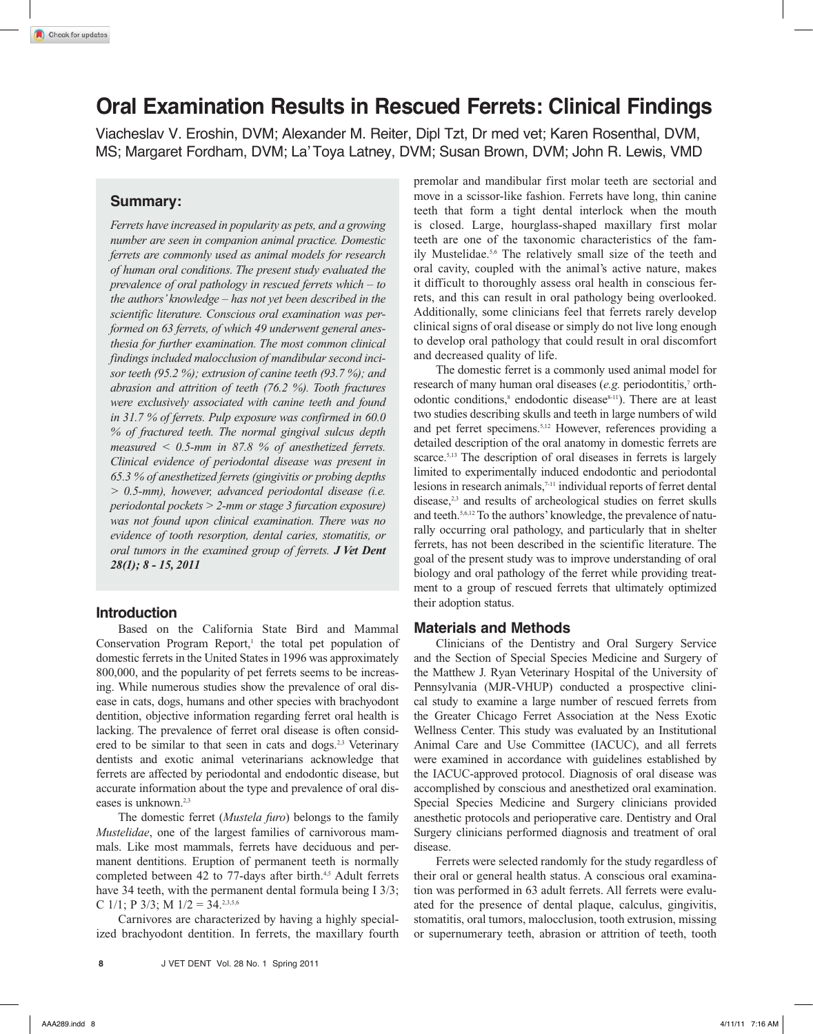# **Oral Examination Results in Rescued Ferrets: Clinical Findings**

Viacheslav V. Eroshin, DVM; Alexander M. Reiter, Dipl Tzt, Dr med vet; Karen Rosenthal, DVM, MS; Margaret Fordham, DVM; La' Toya Latney, DVM; Susan Brown, DVM; John R. Lewis, VMD

### **Summary:**

*Ferrets have increased in popularity as pets, and a growing number are seen in companion animal practice. Domestic ferrets are commonly used as animal models for research of human oral conditions. The present study evaluated the prevalence of oral pathology in rescued ferrets which – to the authors' knowledge – has not yet been described in the scientific literature. Conscious oral examination was performed on 63 ferrets, of which 49 underwent general anesthesia for further examination. The most common clinical findings included malocclusion of mandibular second incisor teeth (95.2 %); extrusion of canine teeth (93.7 %); and abrasion and attrition of teeth (76.2 %). Tooth fractures were exclusively associated with canine teeth and found in 31.7 % of ferrets. Pulp exposure was confirmed in 60.0 % of fractured teeth. The normal gingival sulcus depth measured < 0.5-mm in 87.8 % of anesthetized ferrets. Clinical evidence of periodontal disease was present in 65.3 % of anesthetized ferrets (gingivitis or probing depths > 0.5-mm), however, advanced periodontal disease (i.e. periodontal pockets > 2-mm or stage 3 furcation exposure) was not found upon clinical examination. There was no evidence of tooth resorption, dental caries, stomatitis, or oral tumors in the examined group of ferrets. J Vet Dent 28(1); 8 - 15, 2011*

#### **Introduction**

Based on the California State Bird and Mammal Conservation Program Report,<sup>1</sup> the total pet population of domestic ferrets in the United States in 1996 was approximately 800,000, and the popularity of pet ferrets seems to be increasing. While numerous studies show the prevalence of oral disease in cats, dogs, humans and other species with brachyodont dentition, objective information regarding ferret oral health is lacking. The prevalence of ferret oral disease is often considered to be similar to that seen in cats and dogs.<sup>2,3</sup> Veterinary dentists and exotic animal veterinarians acknowledge that ferrets are affected by periodontal and endodontic disease, but accurate information about the type and prevalence of oral diseases is unknown.<sup>2,3</sup>

The domestic ferret (*Mustela furo*) belongs to the family *Mustelidae*, one of the largest families of carnivorous mammals. Like most mammals, ferrets have deciduous and permanent dentitions. Eruption of permanent teeth is normally completed between 42 to 77-days after birth.<sup>4,5</sup> Adult ferrets have 34 teeth, with the permanent dental formula being I 3/3; C  $1/1$ ; P  $3/3$ ; M  $1/2 = 34$ <sup>2,3,5,6</sup>

Carnivores are characterized by having a highly specialized brachyodont dentition. In ferrets, the maxillary fourth premolar and mandibular first molar teeth are sectorial and move in a scissor-like fashion. Ferrets have long, thin canine teeth that form a tight dental interlock when the mouth is closed. Large, hourglass-shaped maxillary first molar teeth are one of the taxonomic characteristics of the family Mustelidae.5,6 The relatively small size of the teeth and oral cavity, coupled with the animal's active nature, makes it difficult to thoroughly assess oral health in conscious ferrets, and this can result in oral pathology being overlooked. Additionally, some clinicians feel that ferrets rarely develop clinical signs of oral disease or simply do not live long enough to develop oral pathology that could result in oral discomfort and decreased quality of life.

The domestic ferret is a commonly used animal model for research of many human oral diseases (e.g. periodontitis,<sup>7</sup> orthodontic conditions,<sup>8</sup> endodontic disease<sup>8-11</sup>). There are at least two studies describing skulls and teeth in large numbers of wild and pet ferret specimens.5,12 However, references providing a detailed description of the oral anatomy in domestic ferrets are scarce.<sup>5,13</sup> The description of oral diseases in ferrets is largely limited to experimentally induced endodontic and periodontal lesions in research animals,<sup>7-11</sup> individual reports of ferret dental disease,<sup>2,3</sup> and results of archeological studies on ferret skulls and teeth.5,6,12 To the authors' knowledge, the prevalence of naturally occurring oral pathology, and particularly that in shelter ferrets, has not been described in the scientific literature. The goal of the present study was to improve understanding of oral biology and oral pathology of the ferret while providing treatment to a group of rescued ferrets that ultimately optimized their adoption status.

#### **Materials and Methods**

Clinicians of the Dentistry and Oral Surgery Service and the Section of Special Species Medicine and Surgery of the Matthew J. Ryan Veterinary Hospital of the University of Pennsylvania (MJR-VHUP) conducted a prospective clinical study to examine a large number of rescued ferrets from the Greater Chicago Ferret Association at the Ness Exotic Wellness Center. This study was evaluated by an Institutional Animal Care and Use Committee (IACUC), and all ferrets were examined in accordance with guidelines established by the IACUC-approved protocol. Diagnosis of oral disease was accomplished by conscious and anesthetized oral examination. Special Species Medicine and Surgery clinicians provided anesthetic protocols and perioperative care. Dentistry and Oral Surgery clinicians performed diagnosis and treatment of oral disease.

Ferrets were selected randomly for the study regardless of their oral or general health status. A conscious oral examination was performed in 63 adult ferrets. All ferrets were evaluated for the presence of dental plaque, calculus, gingivitis, stomatitis, oral tumors, malocclusion, tooth extrusion, missing or supernumerary teeth, abrasion or attrition of teeth, tooth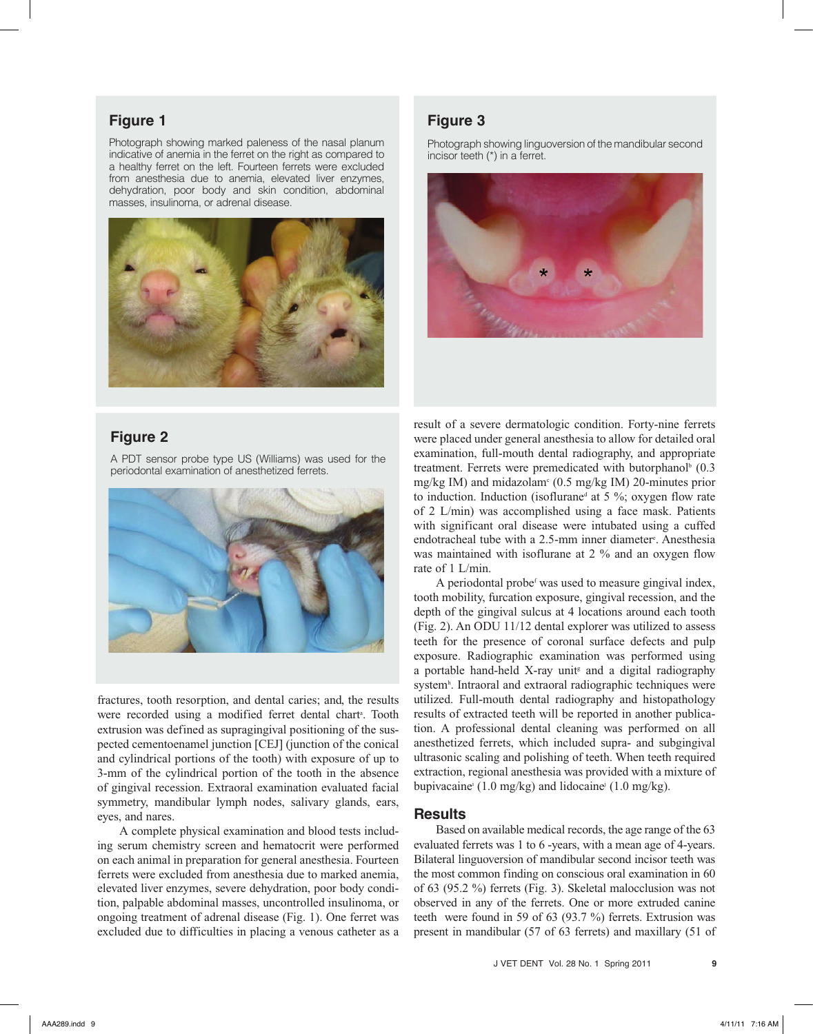## **Figure 1**

Photograph showing marked paleness of the nasal planum indicative of anemia in the ferret on the right as compared to a healthy ferret on the left. Fourteen ferrets were excluded from anesthesia due to anemia, elevated liver enzymes, dehydration, poor body and skin condition, abdominal masses, insulinoma, or adrenal disease.



# **Figure 2**

A PDT sensor probe type US (Williams) was used for the periodontal examination of anesthetized ferrets.



fractures, tooth resorption, and dental caries; and, the results were recorded using a modified ferret dental chart<sup>a</sup>. Tooth extrusion was defined as supragingival positioning of the suspected cementoenamel junction [CEJ] (junction of the conical and cylindrical portions of the tooth) with exposure of up to 3-mm of the cylindrical portion of the tooth in the absence of gingival recession. Extraoral examination evaluated facial symmetry, mandibular lymph nodes, salivary glands, ears, eyes, and nares.

A complete physical examination and blood tests including serum chemistry screen and hematocrit were performed on each animal in preparation for general anesthesia. Fourteen ferrets were excluded from anesthesia due to marked anemia, elevated liver enzymes, severe dehydration, poor body condition, palpable abdominal masses, uncontrolled insulinoma, or ongoing treatment of adrenal disease (Fig. 1). One ferret was excluded due to difficulties in placing a venous catheter as a

## **Figure 3**

Photograph showing linguoversion of the mandibular second incisor teeth (\*) in a ferret.



result of a severe dermatologic condition. Forty-nine ferrets were placed under general anesthesia to allow for detailed oral examination, full-mouth dental radiography, and appropriate treatment. Ferrets were premedicated with butorphanol<sup>b</sup> (0.3 mg/kg IM) and midazolam $\epsilon$  (0.5 mg/kg IM) 20-minutes prior to induction. Induction (isofluraned at  $5\%$ ; oxygen flow rate of 2 L/min) was accomplished using a face mask. Patients with significant oral disease were intubated using a cuffed endotracheal tube with a 2.5-mm inner diameter<sup>e</sup>. Anesthesia was maintained with isoflurane at 2 % and an oxygen flow rate of 1 L/min.

A periodontal probe<sup>f</sup> was used to measure gingival index, tooth mobility, furcation exposure, gingival recession, and the depth of the gingival sulcus at 4 locations around each tooth (Fig. 2). An ODU 11/12 dental explorer was utilized to assess teeth for the presence of coronal surface defects and pulp exposure. Radiographic examination was performed using a portable hand-held X-ray unit<sup>g</sup> and a digital radiography system<sup>h</sup>. Intraoral and extraoral radiographic techniques were utilized. Full-mouth dental radiography and histopathology results of extracted teeth will be reported in another publication. A professional dental cleaning was performed on all anesthetized ferrets, which included supra- and subgingival ultrasonic scaling and polishing of teeth. When teeth required extraction, regional anesthesia was provided with a mixture of bupivacainei (1.0 mg/kg) and lidocainej (1.0 mg/kg).

#### **Results**

Based on available medical records, the age range of the 63 evaluated ferrets was 1 to 6 -years, with a mean age of 4-years. Bilateral linguoversion of mandibular second incisor teeth was the most common finding on conscious oral examination in 60 of 63 (95.2 %) ferrets (Fig. 3). Skeletal malocclusion was not observed in any of the ferrets. One or more extruded canine teeth were found in 59 of 63 (93.7 %) ferrets. Extrusion was present in mandibular (57 of 63 ferrets) and maxillary (51 of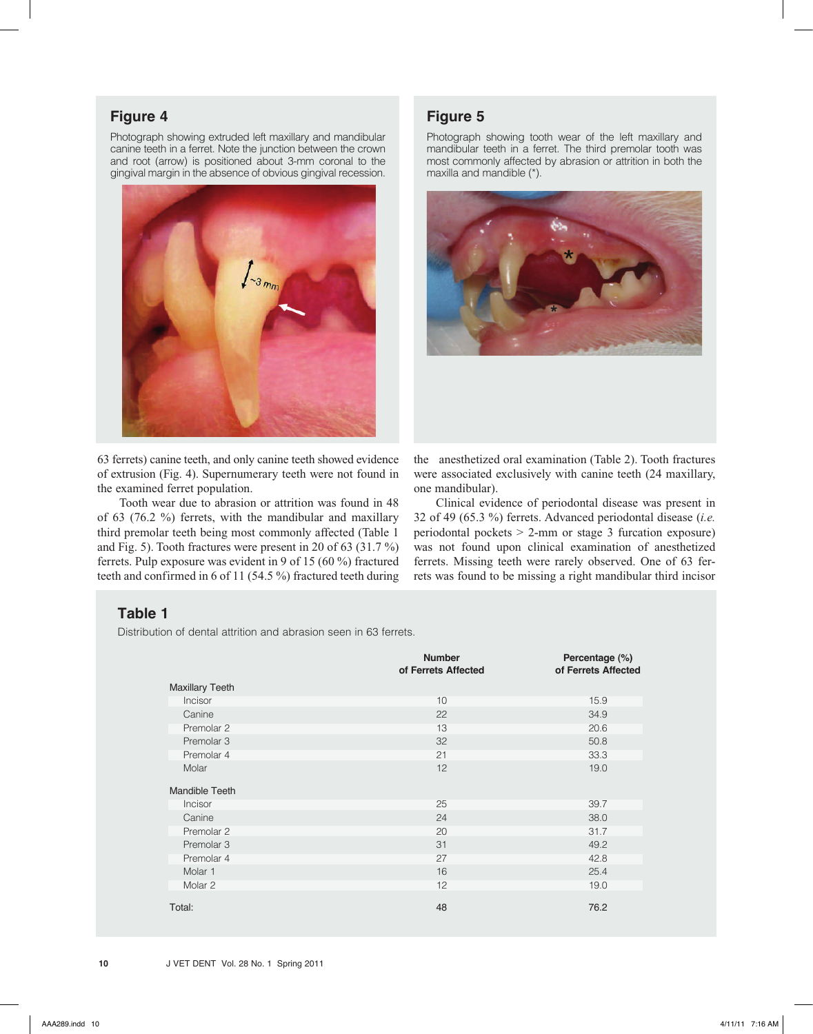# **Figure 4**

Photograph showing extruded left maxillary and mandibular canine teeth in a ferret. Note the junction between the crown and root (arrow) is positioned about 3-mm coronal to the gingival margin in the absence of obvious gingival recession.



63 ferrets) canine teeth, and only canine teeth showed evidence of extrusion (Fig. 4). Supernumerary teeth were not found in the examined ferret population.

Tooth wear due to abrasion or attrition was found in 48 of 63 (76.2 %) ferrets, with the mandibular and maxillary third premolar teeth being most commonly affected (Table 1 and Fig. 5). Tooth fractures were present in 20 of 63 (31.7 %) ferrets. Pulp exposure was evident in 9 of 15 (60 %) fractured teeth and confirmed in 6 of 11 (54.5 %) fractured teeth during

## **Figure 5**

Photograph showing tooth wear of the left maxillary and mandibular teeth in a ferret. The third premolar tooth was most commonly affected by abrasion or attrition in both the maxilla and mandible (\*).



the anesthetized oral examination (Table 2). Tooth fractures were associated exclusively with canine teeth (24 maxillary, one mandibular).

Clinical evidence of periodontal disease was present in 32 of 49 (65.3 %) ferrets. Advanced periodontal disease (*i.e.* periodontal pockets > 2-mm or stage 3 furcation exposure) was not found upon clinical examination of anesthetized ferrets. Missing teeth were rarely observed. One of 63 ferrets was found to be missing a right mandibular third incisor

## **Table 1**

Distribution of dental attrition and abrasion seen in 63 ferrets.

|                        | <b>Number</b><br>of Ferrets Affected | Percentage (%)<br>of Ferrets Affected |
|------------------------|--------------------------------------|---------------------------------------|
| <b>Maxillary Teeth</b> |                                      |                                       |
| Incisor                | 10                                   | 15.9                                  |
| Canine                 | 22                                   | 34.9                                  |
| Premolar <sub>2</sub>  | 13                                   | 20.6                                  |
| Premolar <sub>3</sub>  | 32                                   | 50.8                                  |
| Premolar 4             | 21                                   | 33.3                                  |
| Molar                  | 12                                   | 19.0                                  |
| <b>Mandible Teeth</b>  |                                      |                                       |
| Incisor                | 25                                   | 39.7                                  |
| Canine                 | 24                                   | 38.0                                  |
| Premolar <sub>2</sub>  | 20                                   | 31.7                                  |
| Premolar <sub>3</sub>  | 31                                   | 49.2                                  |
| Premolar 4             | 27                                   | 42.8                                  |
| Molar 1                | 16                                   | 25.4                                  |
| Molar <sub>2</sub>     | 12                                   | 19.0                                  |
| Total:                 | 48                                   | 76.2                                  |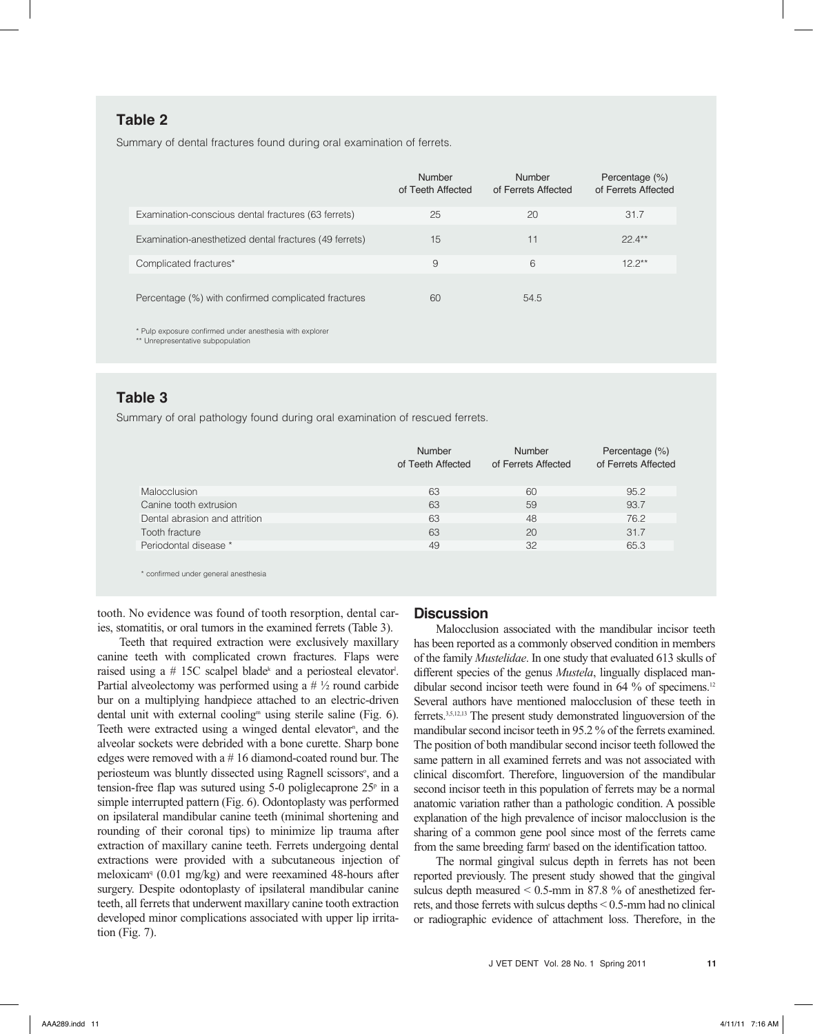# **Table 2**

Summary of dental fractures found during oral examination of ferrets.

|                                                        | <b>Number</b><br>of Teeth Affected | <b>Number</b><br>of Ferrets Affected | Percentage (%)<br>of Ferrets Affected |
|--------------------------------------------------------|------------------------------------|--------------------------------------|---------------------------------------|
| Examination-conscious dental fractures (63 ferrets)    | 25                                 | 20                                   | 31.7                                  |
| Examination-anesthetized dental fractures (49 ferrets) | 15                                 | 11                                   | $22.4**$                              |
| Complicated fractures*                                 | 9                                  | 6                                    | $12.2**$                              |
| Percentage (%) with confirmed complicated fractures    | 60                                 | 54.5                                 |                                       |

\* Pulp exposure confirmed under anesthesia with explorer

\*\* Unrepresentative subpopulation

# **Table 3**

Summary of oral pathology found during oral examination of rescued ferrets.

|                               | <b>Number</b><br>of Teeth Affected | Number<br>of Ferrets Affected | Percentage (%)<br>of Ferrets Affected |
|-------------------------------|------------------------------------|-------------------------------|---------------------------------------|
| <b>Malocclusion</b>           | 63                                 | 60                            | 95.2                                  |
| Canine tooth extrusion        | 63                                 | 59                            | 93.7                                  |
| Dental abrasion and attrition | 63                                 | 48                            | 76.2                                  |
| Tooth fracture                | 63                                 | 20                            | 31.7                                  |
| Periodontal disease *         | 49                                 | 32                            | 65.3                                  |
|                               |                                    |                               |                                       |

\* confirmed under general anesthesia

tooth. No evidence was found of tooth resorption, dental caries, stomatitis, or oral tumors in the examined ferrets (Table 3).

Teeth that required extraction were exclusively maxillary canine teeth with complicated crown fractures. Flaps were raised using a  $#$  15C scalpel blade<sup>k</sup> and a periosteal elevator<sup>1</sup>. Partial alveolectomy was performed using a  $\# \frac{1}{2}$  round carbide bur on a multiplying handpiece attached to an electric-driven dental unit with external cooling<sup>m</sup> using sterile saline (Fig. 6). Teeth were extracted using a winged dental elevator<sup>n</sup>, and the alveolar sockets were debrided with a bone curette. Sharp bone edges were removed with a # 16 diamond-coated round bur. The periosteum was bluntly dissected using Ragnell scissors°, and a tension-free flap was sutured using  $5-0$  poliglecaprone  $25<sup>p</sup>$  in a simple interrupted pattern (Fig. 6). Odontoplasty was performed on ipsilateral mandibular canine teeth (minimal shortening and rounding of their coronal tips) to minimize lip trauma after extraction of maxillary canine teeth. Ferrets undergoing dental extractions were provided with a subcutaneous injection of meloxicam<sup>q</sup> (0.01 mg/kg) and were reexamined 48-hours after surgery. Despite odontoplasty of ipsilateral mandibular canine teeth, all ferrets that underwent maxillary canine tooth extraction developed minor complications associated with upper lip irritation (Fig. 7).

#### **Discussion**

Malocclusion associated with the mandibular incisor teeth has been reported as a commonly observed condition in members of the family *Mustelidae*. In one study that evaluated 613 skulls of different species of the genus *Mustela*, lingually displaced mandibular second incisor teeth were found in 64 % of specimens.<sup>12</sup> Several authors have mentioned malocclusion of these teeth in ferrets.3,5,12,13 The present study demonstrated linguoversion of the mandibular second incisor teeth in 95.2 % of the ferrets examined. The position of both mandibular second incisor teeth followed the same pattern in all examined ferrets and was not associated with clinical discomfort. Therefore, linguoversion of the mandibular second incisor teeth in this population of ferrets may be a normal anatomic variation rather than a pathologic condition. A possible explanation of the high prevalence of incisor malocclusion is the sharing of a common gene pool since most of the ferrets came from the same breeding farm<sup>r</sup> based on the identification tattoo.

The normal gingival sulcus depth in ferrets has not been reported previously. The present study showed that the gingival sulcus depth measured  $< 0.5$ -mm in 87.8 % of anesthetized ferrets, and those ferrets with sulcus depths < 0.5-mm had no clinical or radiographic evidence of attachment loss. Therefore, in the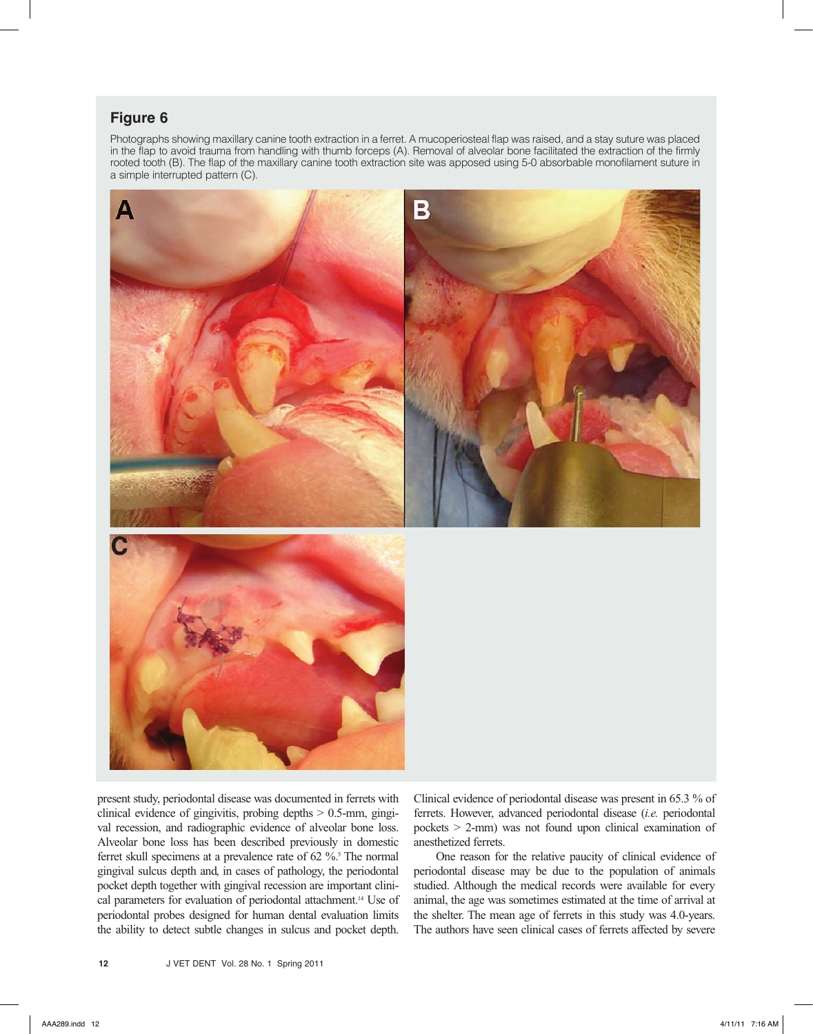# **Figure 6**

Photographs showing maxillary canine tooth extraction in a ferret. A mucoperiosteal flap was raised, and a stay suture was placed in the flap to avoid trauma from handling with thumb forceps (A). Removal of alveolar bone facilitated the extraction of the firmly rooted tooth (B). The flap of the maxillary canine tooth extraction site was apposed using 5-0 absorbable monofilament suture in a simple interrupted pattern (C).



present study, periodontal disease was documented in ferrets with clinical evidence of gingivitis, probing depths > 0.5-mm, gingival recession, and radiographic evidence of alveolar bone loss. Alveolar bone loss has been described previously in domestic ferret skull specimens at a prevalence rate of 62 %.<sup>5</sup> The normal gingival sulcus depth and, in cases of pathology, the periodontal pocket depth together with gingival recession are important clinical parameters for evaluation of periodontal attachment.14 Use of periodontal probes designed for human dental evaluation limits the ability to detect subtle changes in sulcus and pocket depth.

Clinical evidence of periodontal disease was present in 65.3 % of ferrets. However, advanced periodontal disease (*i.e.* periodontal pockets > 2-mm) was not found upon clinical examination of anesthetized ferrets.

One reason for the relative paucity of clinical evidence of periodontal disease may be due to the population of animals studied. Although the medical records were available for every animal, the age was sometimes estimated at the time of arrival at the shelter. The mean age of ferrets in this study was 4.0-years. The authors have seen clinical cases of ferrets affected by severe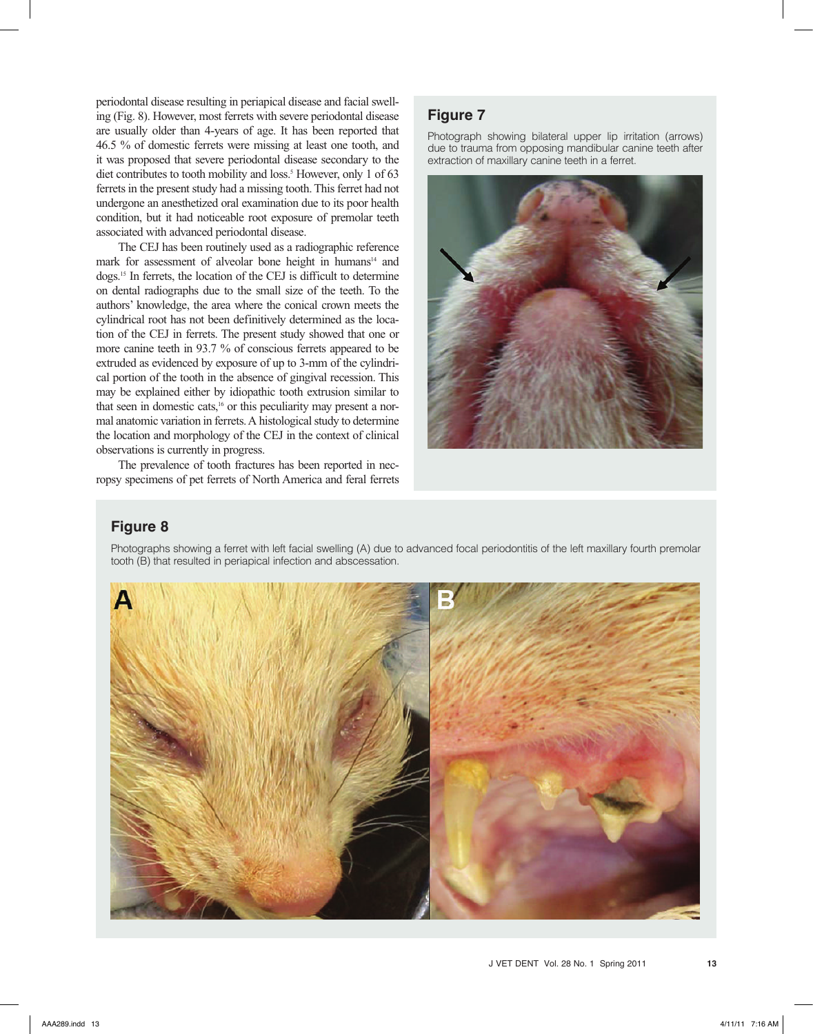periodontal disease resulting in periapical disease and facial swelling (Fig. 8). However, most ferrets with severe periodontal disease are usually older than 4-years of age. It has been reported that 46.5 % of domestic ferrets were missing at least one tooth, and it was proposed that severe periodontal disease secondary to the diet contributes to tooth mobility and loss.<sup>5</sup> However, only 1 of 63 ferrets in the present study had a missing tooth. This ferret had not undergone an anesthetized oral examination due to its poor health condition, but it had noticeable root exposure of premolar teeth associated with advanced periodontal disease.

The CEJ has been routinely used as a radiographic reference mark for assessment of alveolar bone height in humans<sup>14</sup> and dogs.15 In ferrets, the location of the CEJ is difficult to determine on dental radiographs due to the small size of the teeth. To the authors' knowledge, the area where the conical crown meets the cylindrical root has not been definitively determined as the location of the CEJ in ferrets. The present study showed that one or more canine teeth in 93.7 % of conscious ferrets appeared to be extruded as evidenced by exposure of up to 3-mm of the cylindrical portion of the tooth in the absence of gingival recession. This may be explained either by idiopathic tooth extrusion similar to that seen in domestic cats,<sup>16</sup> or this peculiarity may present a normal anatomic variation in ferrets. A histological study to determine the location and morphology of the CEJ in the context of clinical observations is currently in progress.

The prevalence of tooth fractures has been reported in necropsy specimens of pet ferrets of North America and feral ferrets

# **Figure 7**

Photograph showing bilateral upper lip irritation (arrows) due to trauma from opposing mandibular canine teeth after extraction of maxillary canine teeth in a ferret.



## **Figure 8**

Photographs showing a ferret with left facial swelling (A) due to advanced focal periodontitis of the left maxillary fourth premolar tooth (B) that resulted in periapical infection and abscessation.

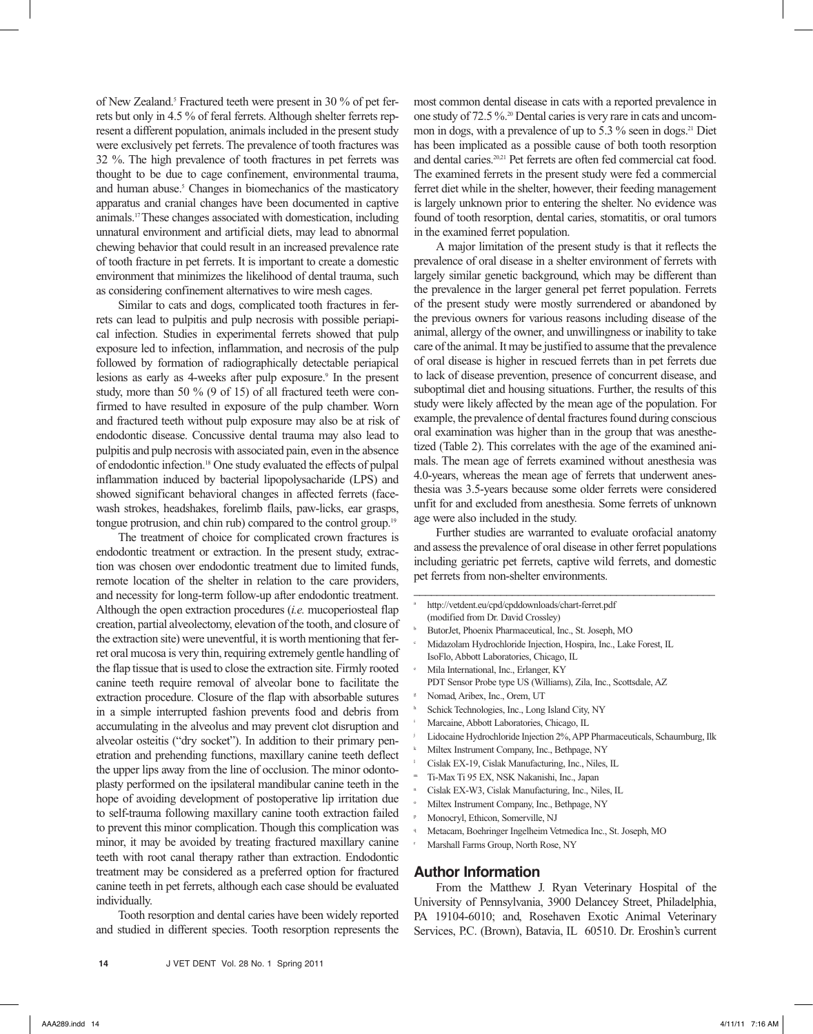of New Zealand.<sup>5</sup> Fractured teeth were present in 30 % of pet ferrets but only in 4.5 % of feral ferrets. Although shelter ferrets represent a different population, animals included in the present study were exclusively pet ferrets. The prevalence of tooth fractures was 32 %. The high prevalence of tooth fractures in pet ferrets was thought to be due to cage confinement, environmental trauma, and human abuse.<sup>5</sup> Changes in biomechanics of the masticatory apparatus and cranial changes have been documented in captive animals.17 These changes associated with domestication, including unnatural environment and artificial diets, may lead to abnormal chewing behavior that could result in an increased prevalence rate of tooth fracture in pet ferrets. It is important to create a domestic environment that minimizes the likelihood of dental trauma, such as considering confinement alternatives to wire mesh cages.

Similar to cats and dogs, complicated tooth fractures in ferrets can lead to pulpitis and pulp necrosis with possible periapical infection. Studies in experimental ferrets showed that pulp exposure led to infection, inflammation, and necrosis of the pulp followed by formation of radiographically detectable periapical lesions as early as 4-weeks after pulp exposure.<sup>9</sup> In the present study, more than 50 % (9 of 15) of all fractured teeth were confirmed to have resulted in exposure of the pulp chamber. Worn and fractured teeth without pulp exposure may also be at risk of endodontic disease. Concussive dental trauma may also lead to pulpitis and pulp necrosis with associated pain, even in the absence of endodontic infection.18 One study evaluated the effects of pulpal inflammation induced by bacterial lipopolysacharide (LPS) and showed significant behavioral changes in affected ferrets (facewash strokes, headshakes, forelimb flails, paw-licks, ear grasps, tongue protrusion, and chin rub) compared to the control group.19

The treatment of choice for complicated crown fractures is endodontic treatment or extraction. In the present study, extraction was chosen over endodontic treatment due to limited funds, remote location of the shelter in relation to the care providers, and necessity for long-term follow-up after endodontic treatment. Although the open extraction procedures (*i.e.* mucoperiosteal flap creation, partial alveolectomy, elevation of the tooth, and closure of the extraction site) were uneventful, it is worth mentioning that ferret oral mucosa is very thin, requiring extremely gentle handling of the flap tissue that is used to close the extraction site. Firmly rooted canine teeth require removal of alveolar bone to facilitate the extraction procedure. Closure of the flap with absorbable sutures in a simple interrupted fashion prevents food and debris from accumulating in the alveolus and may prevent clot disruption and alveolar osteitis ("dry socket"). In addition to their primary penetration and prehending functions, maxillary canine teeth deflect the upper lips away from the line of occlusion. The minor odontoplasty performed on the ipsilateral mandibular canine teeth in the hope of avoiding development of postoperative lip irritation due to self-trauma following maxillary canine tooth extraction failed to prevent this minor complication. Though this complication was minor, it may be avoided by treating fractured maxillary canine teeth with root canal therapy rather than extraction. Endodontic treatment may be considered as a preferred option for fractured canine teeth in pet ferrets, although each case should be evaluated individually.

Tooth resorption and dental caries have been widely reported and studied in different species. Tooth resorption represents the

most common dental disease in cats with a reported prevalence in one study of 72.5 %.20 Dental caries is very rare in cats and uncommon in dogs, with a prevalence of up to 5.3 % seen in dogs.<sup>21</sup> Diet has been implicated as a possible cause of both tooth resorption and dental caries.20,21 Pet ferrets are often fed commercial cat food. The examined ferrets in the present study were fed a commercial ferret diet while in the shelter, however, their feeding management is largely unknown prior to entering the shelter. No evidence was found of tooth resorption, dental caries, stomatitis, or oral tumors in the examined ferret population.

A major limitation of the present study is that it reflects the prevalence of oral disease in a shelter environment of ferrets with largely similar genetic background, which may be different than the prevalence in the larger general pet ferret population. Ferrets of the present study were mostly surrendered or abandoned by the previous owners for various reasons including disease of the animal, allergy of the owner, and unwillingness or inability to take care of the animal. It may be justified to assume that the prevalence of oral disease is higher in rescued ferrets than in pet ferrets due to lack of disease prevention, presence of concurrent disease, and suboptimal diet and housing situations. Further, the results of this study were likely affected by the mean age of the population. For example, the prevalence of dental fractures found during conscious oral examination was higher than in the group that was anesthetized (Table 2). This correlates with the age of the examined animals. The mean age of ferrets examined without anesthesia was 4.0-years, whereas the mean age of ferrets that underwent anesthesia was 3.5-years because some older ferrets were considered unfit for and excluded from anesthesia. Some ferrets of unknown age were also included in the study.

Further studies are warranted to evaluate orofacial anatomy and assess the prevalence of oral disease in other ferret populations including geriatric pet ferrets, captive wild ferrets, and domestic pet ferrets from non-shelter environments.

\_\_\_\_\_\_\_\_\_\_\_\_\_\_\_\_\_\_\_\_\_\_\_\_\_\_\_\_\_\_\_\_\_\_\_\_\_\_\_\_\_\_\_\_\_\_\_\_\_\_\_\_

- <sup>a</sup> http://vetdent.eu/cpd/cpddownloads/chart-ferret.pdf (modified from Dr. David Crossley)
- <sup>b</sup> ButorJet, Phoenix Pharmaceutical, Inc., St. Joseph, MO
- Midazolam Hydrochloride Injection, Hospira, Inc., Lake Forest, IL IsoFlo, Abbott Laboratories, Chicago, IL
- Mila International, Inc., Erlanger, KY
- PDT Sensor Probe type US (Williams), Zila, Inc., Scottsdale, AZ
- Nomad, Aribex, Inc., Orem, UT
- Schick Technologies, Inc., Long Island City, NY
- Marcaine, Abbott Laboratories, Chicago, IL
- Lidocaine Hydrochloride Injection 2%, APP Pharmaceuticals, Schaumburg, Ilk
- Miltex Instrument Company, Inc., Bethpage, NY
- <sup>l</sup> Cislak EX-19, Cislak Manufacturing, Inc., Niles, IL
- <sup>m</sup> Ti-Max Ti 95 EX, NSK Nakanishi, Inc., Japan
- <sup>n</sup> Cislak EX-W3, Cislak Manufacturing, Inc., Niles, IL
- Miltex Instrument Company, Inc., Bethpage, NY
- <sup>p</sup> Monocryl, Ethicon, Somerville, NJ
- Metacam, Boehringer Ingelheim Vetmedica Inc., St. Joseph, MO
- Marshall Farms Group, North Rose, NY

#### **Author Information**

From the Matthew J. Ryan Veterinary Hospital of the University of Pennsylvania, 3900 Delancey Street, Philadelphia, PA 19104-6010; and, Rosehaven Exotic Animal Veterinary Services, P.C. (Brown), Batavia, IL 60510. Dr. Eroshin's current